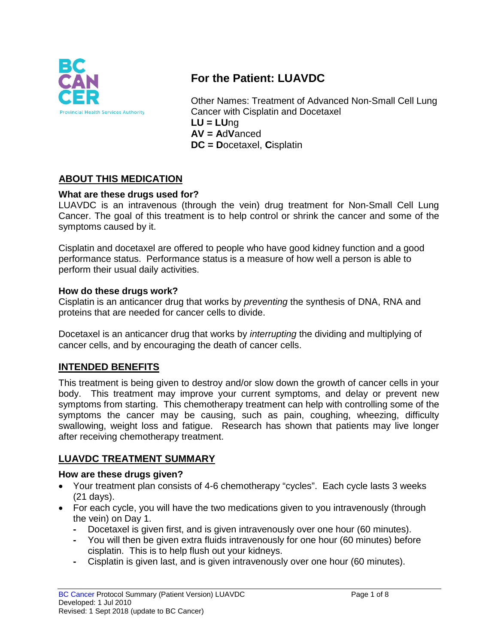

# **For the Patient: LUAVDC**

Other Names: Treatment of Advanced Non-Small Cell Lung Cancer with Cisplatin and Docetaxel **LU = LU**ng **AV = A**d**V**anced **DC = D**ocetaxel, **C**isplatin

## **ABOUT THIS MEDICATION**

#### **What are these drugs used for?**

LUAVDC is an intravenous (through the vein) drug treatment for Non-Small Cell Lung Cancer. The goal of this treatment is to help control or shrink the cancer and some of the symptoms caused by it.

Cisplatin and docetaxel are offered to people who have good kidney function and a good performance status. Performance status is a measure of how well a person is able to perform their usual daily activities.

#### **How do these drugs work?**

Cisplatin is an anticancer drug that works by *preventing* the synthesis of DNA, RNA and proteins that are needed for cancer cells to divide.

Docetaxel is an anticancer drug that works by *interrupting* the dividing and multiplying of cancer cells, and by encouraging the death of cancer cells.

#### **INTENDED BENEFITS**

This treatment is being given to destroy and/or slow down the growth of cancer cells in your body. This treatment may improve your current symptoms, and delay or prevent new symptoms from starting. This chemotherapy treatment can help with controlling some of the symptoms the cancer may be causing, such as pain, coughing, wheezing, difficulty swallowing, weight loss and fatigue. Research has shown that patients may live longer after receiving chemotherapy treatment.

### **LUAVDC TREATMENT SUMMARY**

#### **How are these drugs given?**

- Your treatment plan consists of 4-6 chemotherapy "cycles". Each cycle lasts 3 weeks (21 days).
- For each cycle, you will have the two medications given to you intravenously (through the vein) on Day 1.
	- **-** Docetaxel is given first, and is given intravenously over one hour (60 minutes).
	- **-** You will then be given extra fluids intravenously for one hour (60 minutes) before cisplatin. This is to help flush out your kidneys.
	- **-** Cisplatin is given last, and is given intravenously over one hour (60 minutes).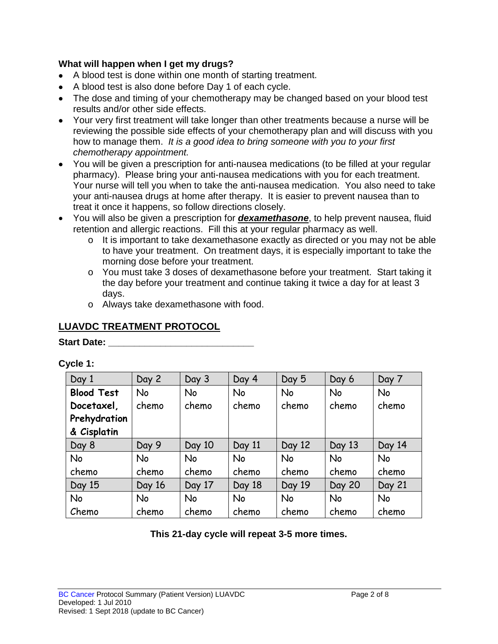#### **What will happen when I get my drugs?**

- A blood test is done within one month of starting treatment.
- A blood test is also done before Day 1 of each cycle.
- The dose and timing of your chemotherapy may be changed based on your blood test results and/or other side effects.
- Your very first treatment will take longer than other treatments because a nurse will be reviewing the possible side effects of your chemotherapy plan and will discuss with you how to manage them. *It is a good idea to bring someone with you to your first chemotherapy appointment.*
- You will be given a prescription for anti-nausea medications (to be filled at your regular pharmacy). Please bring your anti-nausea medications with you for each treatment. Your nurse will tell you when to take the anti-nausea medication. You also need to take your anti-nausea drugs at home after therapy. It is easier to prevent nausea than to treat it once it happens, so follow directions closely.
- You will also be given a prescription for *dexamethasone*, to help prevent nausea, fluid retention and allergic reactions. Fill this at your regular pharmacy as well.
	- o It is important to take dexamethasone exactly as directed or you may not be able to have your treatment. On treatment days, it is especially important to take the morning dose before your treatment.
	- o You must take 3 doses of dexamethasone before your treatment. Start taking it the day before your treatment and continue taking it twice a day for at least 3 days.
	- o Always take dexamethasone with food.

## **LUAVDC TREATMENT PROTOCOL**

#### **Start Date: \_\_\_\_\_\_\_\_\_\_\_\_\_\_\_\_\_\_\_\_\_\_\_\_\_\_\_\_**

**Cycle 1:**

| Day 1             | Day 2     | Day 3     | Day 4     | Day 5     | Day 6         | Day 7     |
|-------------------|-----------|-----------|-----------|-----------|---------------|-----------|
| <b>Blood Test</b> | <b>No</b> | No        | No        | No        | <b>No</b>     | <b>No</b> |
| Docetaxel,        | chemo     | chemo     | chemo     | chemo     | chemo         | chemo     |
| Prehydration      |           |           |           |           |               |           |
| & Cisplatin       |           |           |           |           |               |           |
| Day 8             | Day 9     | Day 10    | Day 11    | Day 12    | Day 13        | Day 14    |
| <b>No</b>         | <b>No</b> | No        | <b>No</b> | <b>No</b> | <b>No</b>     | <b>No</b> |
| chemo             | chemo     | chemo     | chemo     | chemo     | chemo         | chemo     |
| Day 15            | Day 16    | Day 17    | Day 18    | Day 19    | <b>Day 20</b> | Day 21    |
| <b>No</b>         | <b>No</b> | <b>No</b> | <b>No</b> | No        | <b>No</b>     | <b>No</b> |
| Chemo             | chemo     | chemo     | chemo     | chemo     | chemo         | chemo     |

### **This 21-day cycle will repeat 3-5 more times.**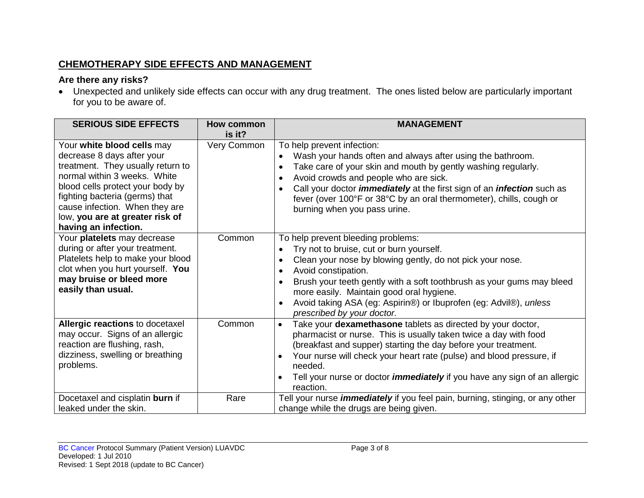## **CHEMOTHERAPY SIDE EFFECTS AND MANAGEMENT**

## **Are there any risks?**

• Unexpected and unlikely side effects can occur with any drug treatment. The ones listed below are particularly important for you to be aware of.

| <b>SERIOUS SIDE EFFECTS</b>                                                                                                                                                                                                                                                                      | <b>How common</b> | <b>MANAGEMENT</b>                                                                                                                                                                                                                                                                                                                                                                                                                        |
|--------------------------------------------------------------------------------------------------------------------------------------------------------------------------------------------------------------------------------------------------------------------------------------------------|-------------------|------------------------------------------------------------------------------------------------------------------------------------------------------------------------------------------------------------------------------------------------------------------------------------------------------------------------------------------------------------------------------------------------------------------------------------------|
|                                                                                                                                                                                                                                                                                                  | is it?            |                                                                                                                                                                                                                                                                                                                                                                                                                                          |
| Your white blood cells may<br>decrease 8 days after your<br>treatment. They usually return to<br>normal within 3 weeks. White<br>blood cells protect your body by<br>fighting bacteria (germs) that<br>cause infection. When they are<br>low, you are at greater risk of<br>having an infection. | Very Common       | To help prevent infection:<br>Wash your hands often and always after using the bathroom.<br>$\bullet$<br>Take care of your skin and mouth by gently washing regularly.<br>$\bullet$<br>Avoid crowds and people who are sick.<br>$\bullet$<br>Call your doctor <i>immediately</i> at the first sign of an <i>infection</i> such as<br>fever (over 100°F or 38°C by an oral thermometer), chills, cough or<br>burning when you pass urine. |
| Your platelets may decrease<br>during or after your treatment.<br>Platelets help to make your blood<br>clot when you hurt yourself. You<br>may bruise or bleed more<br>easily than usual.                                                                                                        | Common            | To help prevent bleeding problems:<br>Try not to bruise, cut or burn yourself.<br>Clean your nose by blowing gently, do not pick your nose.<br>$\bullet$<br>Avoid constipation.<br>$\bullet$<br>Brush your teeth gently with a soft toothbrush as your gums may bleed<br>$\bullet$<br>more easily. Maintain good oral hygiene.<br>Avoid taking ASA (eg: Aspirin®) or Ibuprofen (eg: Advil®), unless<br>prescribed by your doctor.        |
| Allergic reactions to docetaxel<br>may occur. Signs of an allergic<br>reaction are flushing, rash,<br>dizziness, swelling or breathing<br>problems.                                                                                                                                              | Common            | Take your dexamethasone tablets as directed by your doctor,<br>$\bullet$<br>pharmacist or nurse. This is usually taken twice a day with food<br>(breakfast and supper) starting the day before your treatment.<br>Your nurse will check your heart rate (pulse) and blood pressure, if<br>needed.<br>Tell your nurse or doctor <i>immediately</i> if you have any sign of an allergic<br>$\bullet$<br>reaction.                          |
| Docetaxel and cisplatin burn if<br>leaked under the skin.                                                                                                                                                                                                                                        | Rare              | Tell your nurse <i>immediately</i> if you feel pain, burning, stinging, or any other<br>change while the drugs are being given.                                                                                                                                                                                                                                                                                                          |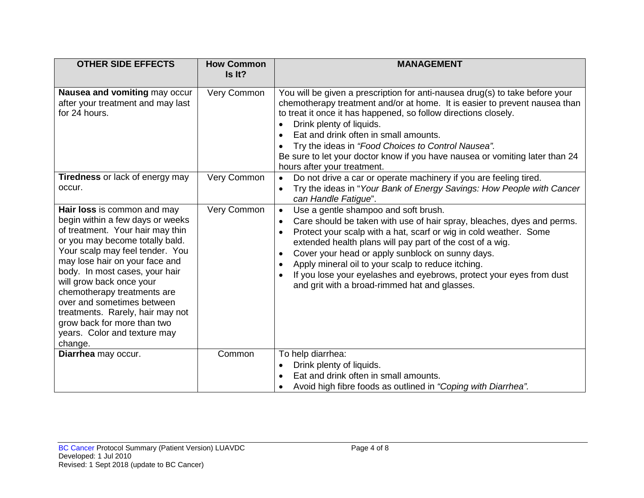| <b>OTHER SIDE EFFECTS</b>                                                                                                                                                                                                                                                                                                                                                                                                                            | <b>How Common</b><br>Is It? | <b>MANAGEMENT</b>                                                                                                                                                                                                                                                                                                                                                                                                                                                                                                                       |
|------------------------------------------------------------------------------------------------------------------------------------------------------------------------------------------------------------------------------------------------------------------------------------------------------------------------------------------------------------------------------------------------------------------------------------------------------|-----------------------------|-----------------------------------------------------------------------------------------------------------------------------------------------------------------------------------------------------------------------------------------------------------------------------------------------------------------------------------------------------------------------------------------------------------------------------------------------------------------------------------------------------------------------------------------|
| Nausea and vomiting may occur<br>after your treatment and may last<br>for 24 hours.                                                                                                                                                                                                                                                                                                                                                                  | Very Common                 | You will be given a prescription for anti-nausea drug(s) to take before your<br>chemotherapy treatment and/or at home. It is easier to prevent nausea than<br>to treat it once it has happened, so follow directions closely.<br>Drink plenty of liquids.<br>Eat and drink often in small amounts.<br>Try the ideas in "Food Choices to Control Nausea".<br>Be sure to let your doctor know if you have nausea or vomiting later than 24<br>hours after your treatment.                                                                 |
| <b>Tiredness or lack of energy may</b><br>occur.                                                                                                                                                                                                                                                                                                                                                                                                     | Very Common                 | Do not drive a car or operate machinery if you are feeling tired.<br>Try the ideas in "Your Bank of Energy Savings: How People with Cancer<br>can Handle Fatigue".                                                                                                                                                                                                                                                                                                                                                                      |
| Hair loss is common and may<br>begin within a few days or weeks<br>of treatment. Your hair may thin<br>or you may become totally bald.<br>Your scalp may feel tender. You<br>may lose hair on your face and<br>body. In most cases, your hair<br>will grow back once your<br>chemotherapy treatments are<br>over and sometimes between<br>treatments. Rarely, hair may not<br>grow back for more than two<br>years. Color and texture may<br>change. | Very Common                 | Use a gentle shampoo and soft brush.<br>$\bullet$<br>Care should be taken with use of hair spray, bleaches, dyes and perms.<br>$\bullet$<br>Protect your scalp with a hat, scarf or wig in cold weather. Some<br>extended health plans will pay part of the cost of a wig.<br>Cover your head or apply sunblock on sunny days.<br>$\bullet$<br>Apply mineral oil to your scalp to reduce itching.<br>$\bullet$<br>If you lose your eyelashes and eyebrows, protect your eyes from dust<br>and grit with a broad-rimmed hat and glasses. |
| Diarrhea may occur.                                                                                                                                                                                                                                                                                                                                                                                                                                  | Common                      | To help diarrhea:<br>Drink plenty of liquids.<br>$\bullet$<br>Eat and drink often in small amounts.<br>Avoid high fibre foods as outlined in "Coping with Diarrhea".                                                                                                                                                                                                                                                                                                                                                                    |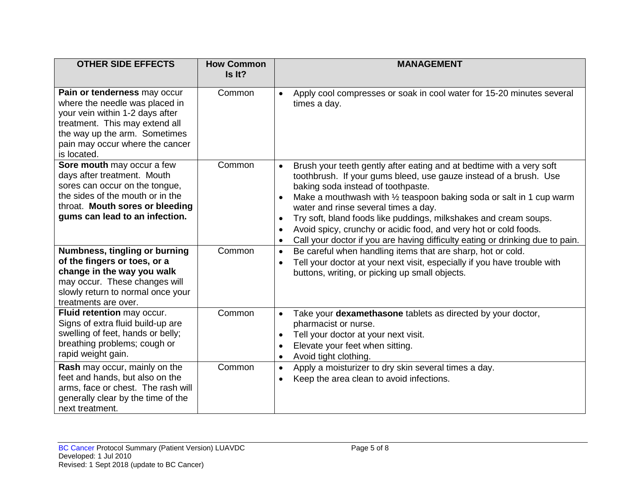| <b>OTHER SIDE EFFECTS</b>                                                                                                                                                                                              | <b>How Common</b><br>Is It? | <b>MANAGEMENT</b>                                                                                                                                                                                                                                                                                                                                                                                                                                                                                                                                               |
|------------------------------------------------------------------------------------------------------------------------------------------------------------------------------------------------------------------------|-----------------------------|-----------------------------------------------------------------------------------------------------------------------------------------------------------------------------------------------------------------------------------------------------------------------------------------------------------------------------------------------------------------------------------------------------------------------------------------------------------------------------------------------------------------------------------------------------------------|
| Pain or tenderness may occur<br>where the needle was placed in<br>your vein within 1-2 days after<br>treatment. This may extend all<br>the way up the arm. Sometimes<br>pain may occur where the cancer<br>is located. | Common                      | Apply cool compresses or soak in cool water for 15-20 minutes several<br>times a day.                                                                                                                                                                                                                                                                                                                                                                                                                                                                           |
| Sore mouth may occur a few<br>days after treatment. Mouth<br>sores can occur on the tongue,<br>the sides of the mouth or in the<br>throat. Mouth sores or bleeding<br>gums can lead to an infection.                   | Common                      | Brush your teeth gently after eating and at bedtime with a very soft<br>toothbrush. If your gums bleed, use gauze instead of a brush. Use<br>baking soda instead of toothpaste.<br>Make a mouthwash with 1/2 teaspoon baking soda or salt in 1 cup warm<br>$\bullet$<br>water and rinse several times a day.<br>Try soft, bland foods like puddings, milkshakes and cream soups.<br>$\bullet$<br>Avoid spicy, crunchy or acidic food, and very hot or cold foods.<br>Call your doctor if you are having difficulty eating or drinking due to pain.<br>$\bullet$ |
| Numbness, tingling or burning<br>of the fingers or toes, or a<br>change in the way you walk<br>may occur. These changes will<br>slowly return to normal once your<br>treatments are over.                              | Common                      | Be careful when handling items that are sharp, hot or cold.<br>$\bullet$<br>Tell your doctor at your next visit, especially if you have trouble with<br>buttons, writing, or picking up small objects.                                                                                                                                                                                                                                                                                                                                                          |
| Fluid retention may occur.<br>Signs of extra fluid build-up are<br>swelling of feet, hands or belly;<br>breathing problems; cough or<br>rapid weight gain.                                                             | Common                      | Take your dexamethasone tablets as directed by your doctor,<br>$\bullet$<br>pharmacist or nurse.<br>Tell your doctor at your next visit.<br>$\bullet$<br>Elevate your feet when sitting.<br>$\bullet$<br>Avoid tight clothing.                                                                                                                                                                                                                                                                                                                                  |
| Rash may occur, mainly on the<br>feet and hands, but also on the<br>arms, face or chest. The rash will<br>generally clear by the time of the<br>next treatment.                                                        | Common                      | Apply a moisturizer to dry skin several times a day.<br>Keep the area clean to avoid infections.<br>$\bullet$                                                                                                                                                                                                                                                                                                                                                                                                                                                   |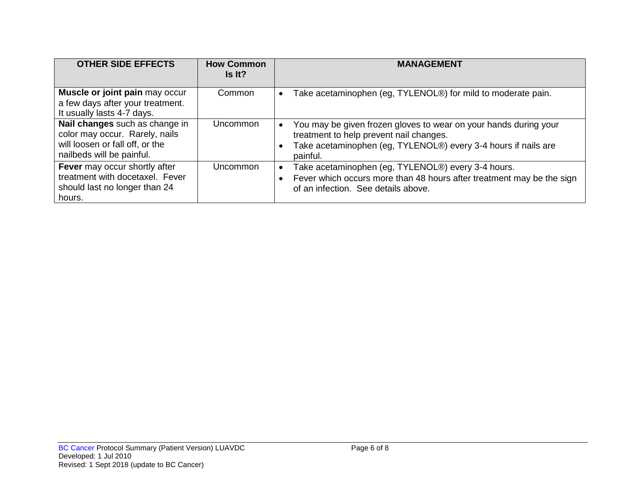| <b>OTHER SIDE EFFECTS</b>                                                                                                        | <b>How Common</b><br>Is It? | <b>MANAGEMENT</b>                                                                                                                                                                         |
|----------------------------------------------------------------------------------------------------------------------------------|-----------------------------|-------------------------------------------------------------------------------------------------------------------------------------------------------------------------------------------|
| Muscle or joint pain may occur<br>a few days after your treatment.<br>It usually lasts 4-7 days.                                 | Common                      | Take acetaminophen (eg, TYLENOL®) for mild to moderate pain.<br>$\bullet$                                                                                                                 |
| Nail changes such as change in<br>color may occur. Rarely, nails<br>will loosen or fall off, or the<br>nailbeds will be painful. | Uncommon                    | You may be given frozen gloves to wear on your hands during your<br>treatment to help prevent nail changes.<br>Take acetaminophen (eg, TYLENOL®) every 3-4 hours if nails are<br>painful. |
| Fever may occur shortly after<br>treatment with docetaxel. Fever<br>should last no longer than 24<br>hours.                      | Uncommon                    | Take acetaminophen (eg, TYLENOL®) every 3-4 hours.<br>• Fever which occurs more than 48 hours after treatment may be the sign<br>of an infection. See details above.                      |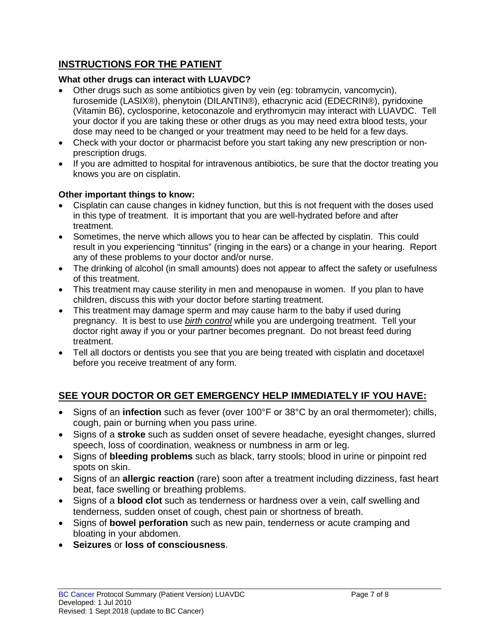## **INSTRUCTIONS FOR THE PATIENT**

#### **What other drugs can interact with LUAVDC?**

- Other drugs such as some antibiotics given by vein (eg: tobramycin, vancomycin), furosemide (LASIX®), phenytoin (DILANTIN®), ethacrynic acid (EDECRIN®), pyridoxine (Vitamin B6), cyclosporine, ketoconazole and erythromycin may interact with LUAVDC. Tell your doctor if you are taking these or other drugs as you may need extra blood tests, your dose may need to be changed or your treatment may need to be held for a few days.
- Check with your doctor or pharmacist before you start taking any new prescription or nonprescription drugs.
- If you are admitted to hospital for intravenous antibiotics, be sure that the doctor treating you knows you are on cisplatin.

#### **Other important things to know:**

- Cisplatin can cause changes in kidney function, but this is not frequent with the doses used in this type of treatment. It is important that you are well-hydrated before and after treatment.
- Sometimes, the nerve which allows you to hear can be affected by cisplatin. This could result in you experiencing "tinnitus" (ringing in the ears) or a change in your hearing. Report any of these problems to your doctor and/or nurse.
- The drinking of alcohol (in small amounts) does not appear to affect the safety or usefulness of this treatment.
- This treatment may cause sterility in men and menopause in women. If you plan to have children, discuss this with your doctor before starting treatment.
- This treatment may damage sperm and may cause harm to the baby if used during pregnancy. It is best to use *birth control* while you are undergoing treatment. Tell your doctor right away if you or your partner becomes pregnant. Do not breast feed during treatment.
- Tell all doctors or dentists you see that you are being treated with cisplatin and docetaxel before you receive treatment of any form.

## **SEE YOUR DOCTOR OR GET EMERGENCY HELP IMMEDIATELY IF YOU HAVE:**

- Signs of an **infection** such as fever (over 100°F or 38°C by an oral thermometer); chills, cough, pain or burning when you pass urine.
- Signs of a **stroke** such as sudden onset of severe headache, eyesight changes, slurred speech, loss of coordination, weakness or numbness in arm or leg.
- Signs of **bleeding problems** such as black, tarry stools; blood in urine or pinpoint red spots on skin.
- Signs of an **allergic reaction** (rare) soon after a treatment including dizziness, fast heart beat, face swelling or breathing problems.
- Signs of a **blood clot** such as tenderness or hardness over a vein, calf swelling and tenderness, sudden onset of cough, chest pain or shortness of breath.
- Signs of **bowel perforation** such as new pain, tenderness or acute cramping and bloating in your abdomen.
- **Seizures** or **loss of consciousness**.